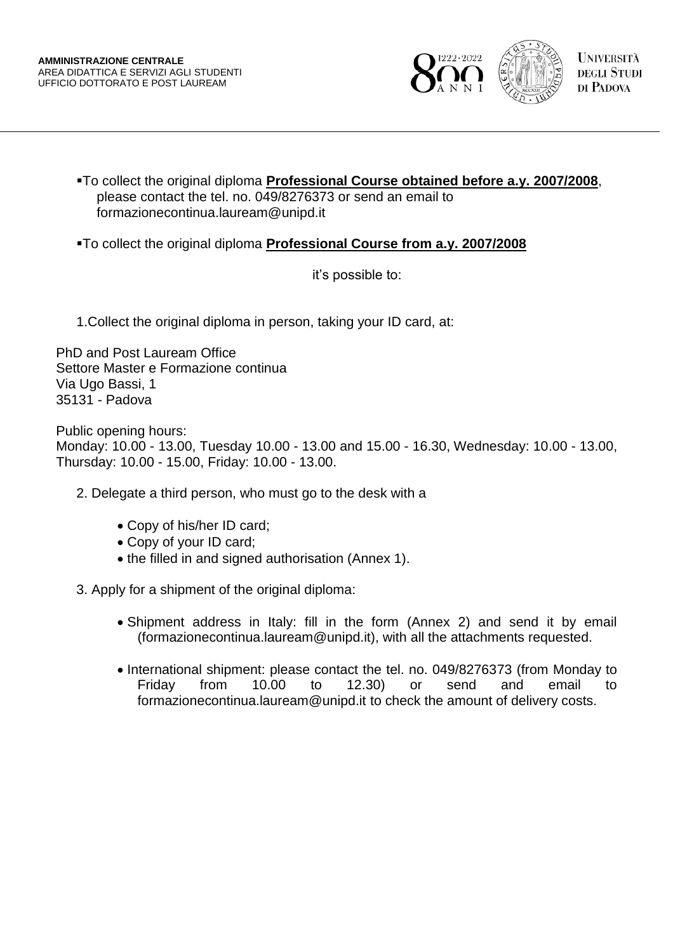

To collect the original diploma **Professional Course obtained before a.y. 2007/2008**, please contact the tel. no. 049/8276373 or send an email to formazionecontinua.lauream@unipd.it

To collect the original diploma **Professional Course from a.y. 2007/2008**

it's possible to:

1.Collect the original diploma in person, taking your ID card, at:

PhD and Post Lauream Office Settore Master e Formazione continua Via Ugo Bassi, 1 35131 - Padova

Public opening hours: Monday: 10.00 - 13.00, Tuesday 10.00 - 13.00 and 15.00 - 16.30, Wednesday: 10.00 - 13.00, Thursday: 10.00 - 15.00, Friday: 10.00 - 13.00.

- 2. Delegate a third person, who must go to the desk with a
	- Copy of his/her ID card;
	- Copy of your ID card;
	- the filled in and signed authorisation (Annex 1).

3. Apply for a shipment of the original diploma:

- Shipment address in Italy: fill in the form (Annex 2) and send it by email (formazionecontinua.lauream@unipd.it), with all the attachments requested.
- International shipment: please contact the tel. no. 049/8276373 (from Monday to Friday from 10.00 to 12.30) or send and email to formazionecontinua.lauream@unipd.it to check the amount of delivery costs.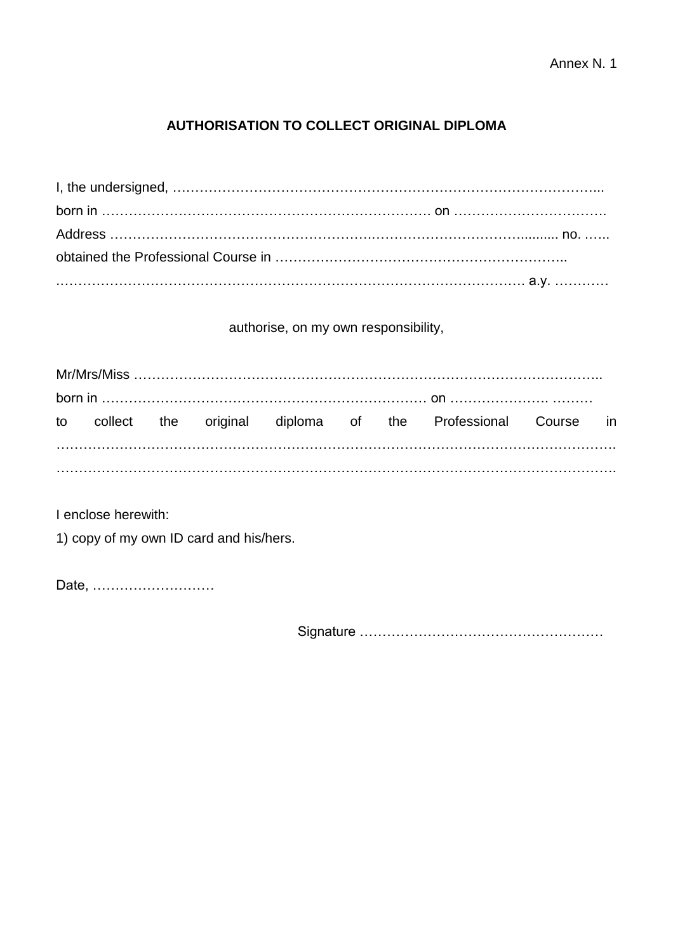## **AUTHORISATION TO COLLECT ORIGINAL DIPLOMA**

## authorise, on my own responsibility,

|  |  |  | to collect the original diploma of the Professional Course in |  |
|--|--|--|---------------------------------------------------------------|--|
|  |  |  |                                                               |  |

I enclose herewith:

1) copy of my own ID card and his/hers.

Date, ………………………

Signature ………………………………………………